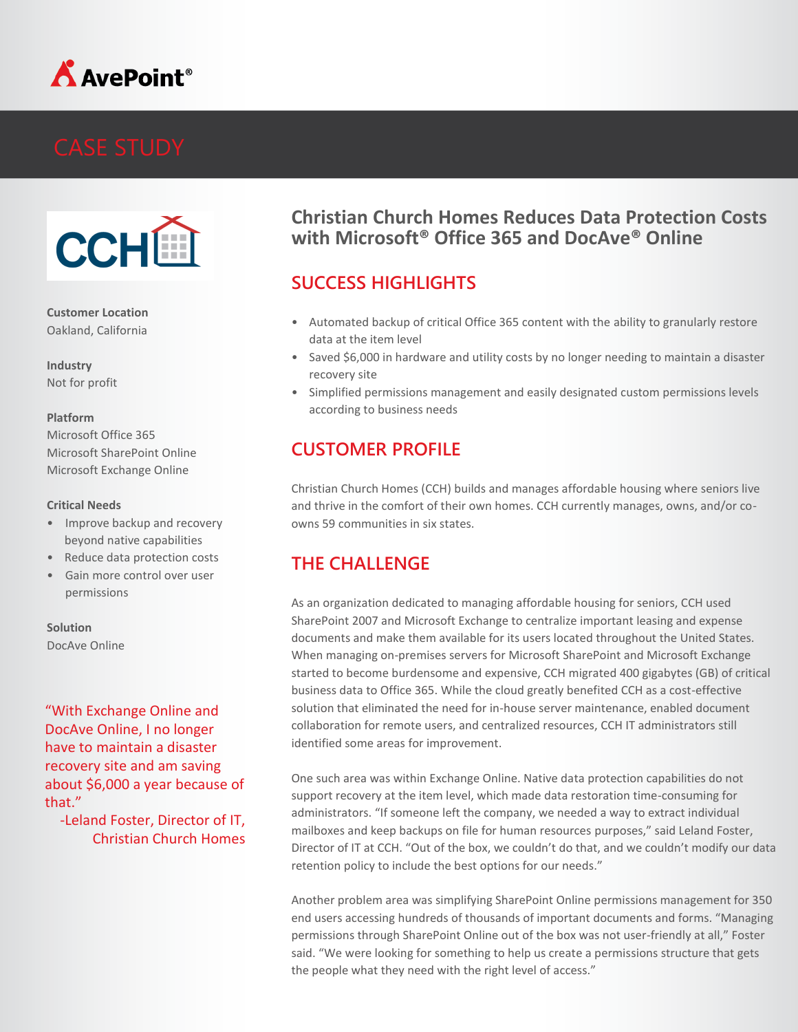



**Customer Location** Oakland, California

**Industry** Not for profit

#### **Platform**

Microsoft Office 365 Microsoft SharePoint Online Microsoft Exchange Online

#### **Critical Needs**

- Improve backup and recovery beyond native capabilities
- Reduce data protection costs
- Gain more control over user permissions

#### **Solution**

DocAve Online

"With Exchange Online and DocAve Online, I no longer have to maintain a disaster recovery site and am saving about \$6,000 a year because of that."

-Leland Foster, Director of IT, Christian Church Homes

### **Christian Church Homes Reduces Data Protection Costs with Microsoft® Office 365 and DocAve® Online**

## **SUCCESS HIGHLIGHTS**

- Automated backup of critical Office 365 content with the ability to granularly restore data at the item level
- Saved \$6,000 in hardware and utility costs by no longer needing to maintain a disaster recovery site
- Simplified permissions management and easily designated custom permissions levels according to business needs

## **CUSTOMER PROFILE**

Christian Church Homes (CCH) builds and manages affordable housing where seniors live and thrive in the comfort of their own homes. CCH currently manages, owns, and/or coowns 59 communities in six states.

# **THE CHALLENGE**

As an organization dedicated to managing affordable housing for seniors, CCH used SharePoint 2007 and Microsoft Exchange to centralize important leasing and expense documents and make them available for its users located throughout the United States. When managing on-premises servers for Microsoft SharePoint and Microsoft Exchange started to become burdensome and expensive, CCH migrated 400 gigabytes (GB) of critical business data to Office 365. While the cloud greatly benefited CCH as a cost-effective solution that eliminated the need for in-house server maintenance, enabled document collaboration for remote users, and centralized resources, CCH IT administrators still identified some areas for improvement.

One such area was within Exchange Online. Native data protection capabilities do not support recovery at the item level, which made data restoration time-consuming for administrators. "If someone left the company, we needed a way to extract individual mailboxes and keep backups on file for human resources purposes," said Leland Foster, Director of IT at CCH. "Out of the box, we couldn't do that, and we couldn't modify our data retention policy to include the best options for our needs."

Another problem area was simplifying SharePoint Online permissions management for 350 end users accessing hundreds of thousands of important documents and forms. "Managing permissions through SharePoint Online out of the box was not user-friendly at all," Foster said. "We were looking for something to help us create a permissions structure that gets the people what they need with the right level of access."